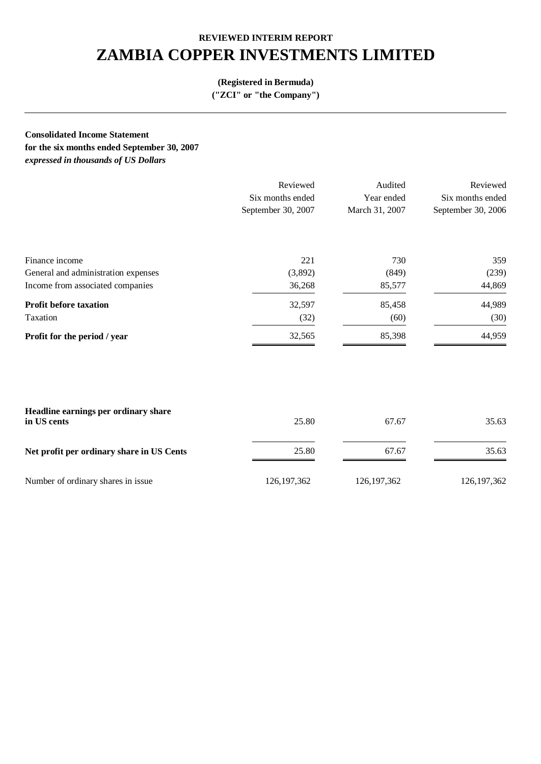# **ZAMBIA COPPER INVESTMENTS LIMITED**

## **(Registered in Bermuda)**

**("ZCI" or "the Company")** 

**Consolidated Income Statement**

**for the six months ended September 30, 2007**  *expressed in thousands of US Dollars* 

|                                     | Reviewed           | Audited        | Reviewed           |
|-------------------------------------|--------------------|----------------|--------------------|
|                                     | Six months ended   | Year ended     | Six months ended   |
|                                     | September 30, 2007 | March 31, 2007 | September 30, 2006 |
|                                     |                    |                |                    |
| Finance income                      | 221                | 730            | 359                |
| General and administration expenses | (3,892)            | (849)          | (239)              |
| Income from associated companies    | 36,268             | 85,577         | 44,869             |
| <b>Profit before taxation</b>       | 32,597             | 85,458         | 44,989             |
| Taxation                            | (32)               | (60)           | (30)               |
| Profit for the period / year        | 32,565             | 85,398         | 44,959             |
|                                     |                    |                |                    |

| Headline earnings per ordinary share<br>in US cents | 25.80         | 67.67         | 35.63         |
|-----------------------------------------------------|---------------|---------------|---------------|
| Net profit per ordinary share in US Cents           | 25.80         | 67.67         | 35.63         |
| Number of ordinary shares in issue                  | 126, 197, 362 | 126, 197, 362 | 126, 197, 362 |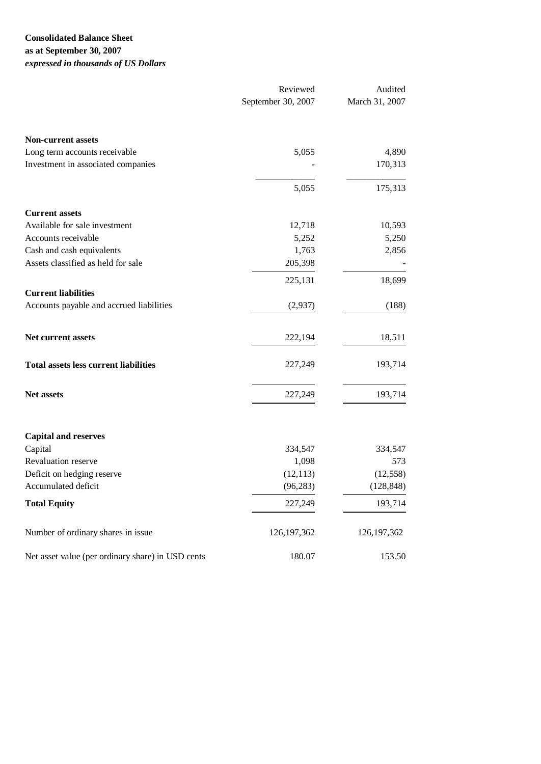## **Consolidated Balance Sheet as at September 30, 2007**  *expressed in thousands of US Dollars*

|                                                   | Reviewed           | Audited        |  |
|---------------------------------------------------|--------------------|----------------|--|
|                                                   | September 30, 2007 | March 31, 2007 |  |
| <b>Non-current assets</b>                         |                    |                |  |
| Long term accounts receivable                     | 5,055              | 4,890          |  |
| Investment in associated companies                |                    | 170,313        |  |
|                                                   | 5,055              | 175,313        |  |
| <b>Current assets</b>                             |                    |                |  |
| Available for sale investment                     | 12,718             | 10,593         |  |
| Accounts receivable                               | 5,252              | 5,250          |  |
| Cash and cash equivalents                         | 1,763              | 2,856          |  |
| Assets classified as held for sale                | 205,398            |                |  |
|                                                   | 225,131            | 18,699         |  |
| <b>Current liabilities</b>                        |                    |                |  |
| Accounts payable and accrued liabilities          | (2,937)            | (188)          |  |
| Net current assets                                | 222,194            | 18,511         |  |
| <b>Total assets less current liabilities</b>      | 227,249            | 193,714        |  |
| Net assets                                        | 227,249            | 193,714        |  |
| <b>Capital and reserves</b>                       |                    |                |  |
| Capital                                           | 334,547            | 334,547        |  |
| Revaluation reserve                               | 1,098              | 573            |  |
| Deficit on hedging reserve                        | (12, 113)          | (12, 558)      |  |
| Accumulated deficit                               | (96, 283)          | (128, 848)     |  |
| <b>Total Equity</b>                               | 227,249            | 193,714        |  |
| Number of ordinary shares in issue                | 126, 197, 362      | 126, 197, 362  |  |
| Net asset value (per ordinary share) in USD cents | 180.07             | 153.50         |  |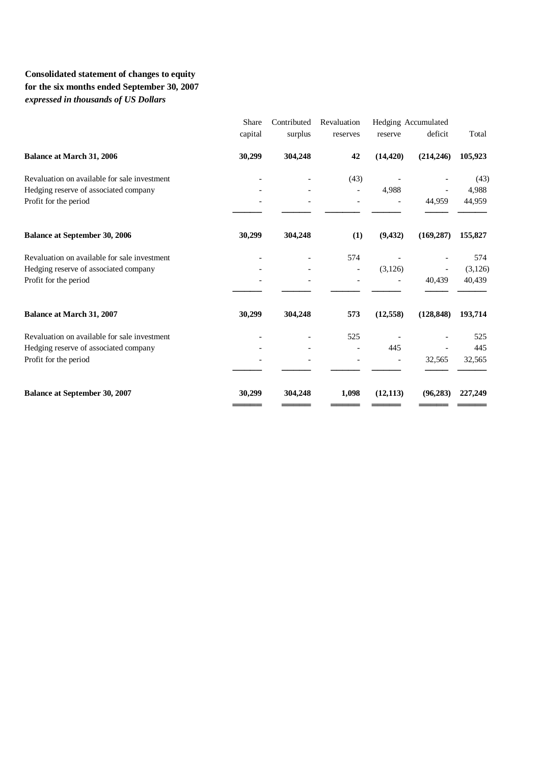# **Consolidated statement of changes to equity for the six months ended September 30, 2007**  *expressed in thousands of US Dollars*

| Share   | Contributed | Revaluation              |           |            |                     |
|---------|-------------|--------------------------|-----------|------------|---------------------|
| capital | surplus     | reserves                 | reserve   | deficit    | Total               |
| 30,299  | 304,248     | 42                       | (14, 420) | (214, 246) | 105,923             |
|         |             | (43)                     |           |            | (43)                |
|         |             | $\overline{\phantom{a}}$ | 4,988     |            | 4,988               |
|         |             |                          |           | 44,959     | 44,959              |
| 30,299  | 304,248     | (1)                      | (9, 432)  | (169, 287) | 155,827             |
|         |             | 574                      |           |            | 574                 |
|         |             | $\overline{\phantom{0}}$ | (3,126)   |            | (3,126)             |
|         |             |                          |           | 40,439     | 40,439              |
| 30,299  | 304,248     | 573                      | (12, 558) | (128, 848) | 193,714             |
|         |             | 525                      |           |            | 525                 |
|         |             | $\overline{a}$           | 445       |            | 445                 |
|         |             |                          |           | 32,565     | 32,565              |
| 30,299  | 304,248     | 1,098                    | (12, 113) | (96, 283)  | 227,249             |
|         |             |                          |           |            | Hedging Accumulated |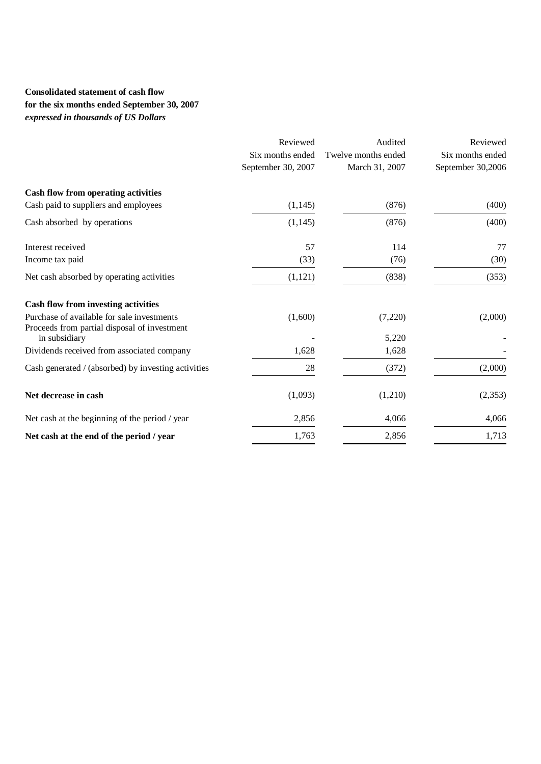# **Consolidated statement of cash flow for the six months ended September 30, 2007**  *expressed in thousands of US Dollars*

|                                                               | Reviewed           | Audited             | Reviewed          |
|---------------------------------------------------------------|--------------------|---------------------|-------------------|
|                                                               | Six months ended   | Twelve months ended | Six months ended  |
|                                                               | September 30, 2007 | March 31, 2007      | September 30,2006 |
| <b>Cash flow from operating activities</b>                    |                    |                     |                   |
| Cash paid to suppliers and employees                          | (1, 145)           | (876)               | (400)             |
| Cash absorbed by operations                                   | (1, 145)           | (876)               | (400)             |
| Interest received                                             | 57                 | 114                 | 77                |
| Income tax paid                                               | (33)               | (76)                | (30)              |
| Net cash absorbed by operating activities                     | (1,121)            | (838)               | (353)             |
| <b>Cash flow from investing activities</b>                    |                    |                     |                   |
| Purchase of available for sale investments                    | (1,600)            | (7,220)             | (2,000)           |
| Proceeds from partial disposal of investment<br>in subsidiary |                    | 5,220               |                   |
| Dividends received from associated company                    | 1,628              | 1,628               |                   |
| Cash generated / (absorbed) by investing activities           | 28                 | (372)               | (2,000)           |
| Net decrease in cash                                          | (1,093)            | (1,210)             | (2,353)           |
| Net cash at the beginning of the period / year                | 2,856              | 4,066               | 4,066             |
| Net cash at the end of the period / year                      | 1,763              | 2,856               | 1,713             |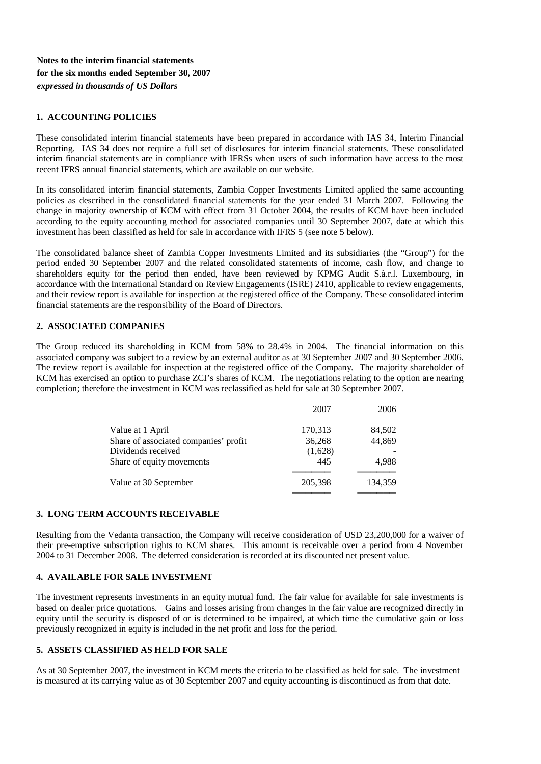## **Notes to the interim financial statements for the six months ended September 30, 2007**  *expressed in thousands of US Dollars*

#### **1. ACCOUNTING POLICIES**

These consolidated interim financial statements have been prepared in accordance with IAS 34, Interim Financial Reporting. IAS 34 does not require a full set of disclosures for interim financial statements. These consolidated interim financial statements are in compliance with IFRSs when users of such information have access to the most recent IFRS annual financial statements, which are available on our website.

In its consolidated interim financial statements, Zambia Copper Investments Limited applied the same accounting policies as described in the consolidated financial statements for the year ended 31 March 2007. Following the change in majority ownership of KCM with effect from 31 October 2004, the results of KCM have been included according to the equity accounting method for associated companies until 30 September 2007, date at which this investment has been classified as held for sale in accordance with IFRS 5 (see note 5 below).

The consolidated balance sheet of Zambia Copper Investments Limited and its subsidiaries (the "Group") for the period ended 30 September 2007 and the related consolidated statements of income, cash flow, and change to shareholders equity for the period then ended, have been reviewed by KPMG Audit S.à.r.l. Luxembourg, in accordance with the International Standard on Review Engagements (ISRE) 2410, applicable to review engagements, and their review report is available for inspection at the registered office of the Company. These consolidated interim financial statements are the responsibility of the Board of Directors.

#### **2. ASSOCIATED COMPANIES**

The Group reduced its shareholding in KCM from 58% to 28.4% in 2004. The financial information on this associated company was subject to a review by an external auditor as at 30 September 2007 and 30 September 2006. The review report is available for inspection at the registered office of the Company. The majority shareholder of KCM has exercised an option to purchase ZCI's shares of KCM. The negotiations relating to the option are nearing completion; therefore the investment in KCM was reclassified as held for sale at 30 September 2007.

|                                       | 2007    | 2006    |
|---------------------------------------|---------|---------|
| Value at 1 April                      | 170,313 | 84,502  |
| Share of associated companies' profit | 36,268  | 44,869  |
| Dividends received                    | (1,628) |         |
| Share of equity movements             | 445     | 4.988   |
| Value at 30 September                 | 205,398 | 134,359 |
|                                       |         |         |

#### **3. LONG TERM ACCOUNTS RECEIVABLE**

Resulting from the Vedanta transaction, the Company will receive consideration of USD 23,200,000 for a waiver of their pre-emptive subscription rights to KCM shares. This amount is receivable over a period from 4 November 2004 to 31 December 2008. The deferred consideration is recorded at its discounted net present value.

#### **4. AVAILABLE FOR SALE INVESTMENT**

The investment represents investments in an equity mutual fund. The fair value for available for sale investments is based on dealer price quotations. Gains and losses arising from changes in the fair value are recognized directly in equity until the security is disposed of or is determined to be impaired, at which time the cumulative gain or loss previously recognized in equity is included in the net profit and loss for the period.

#### **5. ASSETS CLASSIFIED AS HELD FOR SALE**

As at 30 September 2007, the investment in KCM meets the criteria to be classified as held for sale. The investment is measured at its carrying value as of 30 September 2007 and equity accounting is discontinued as from that date.